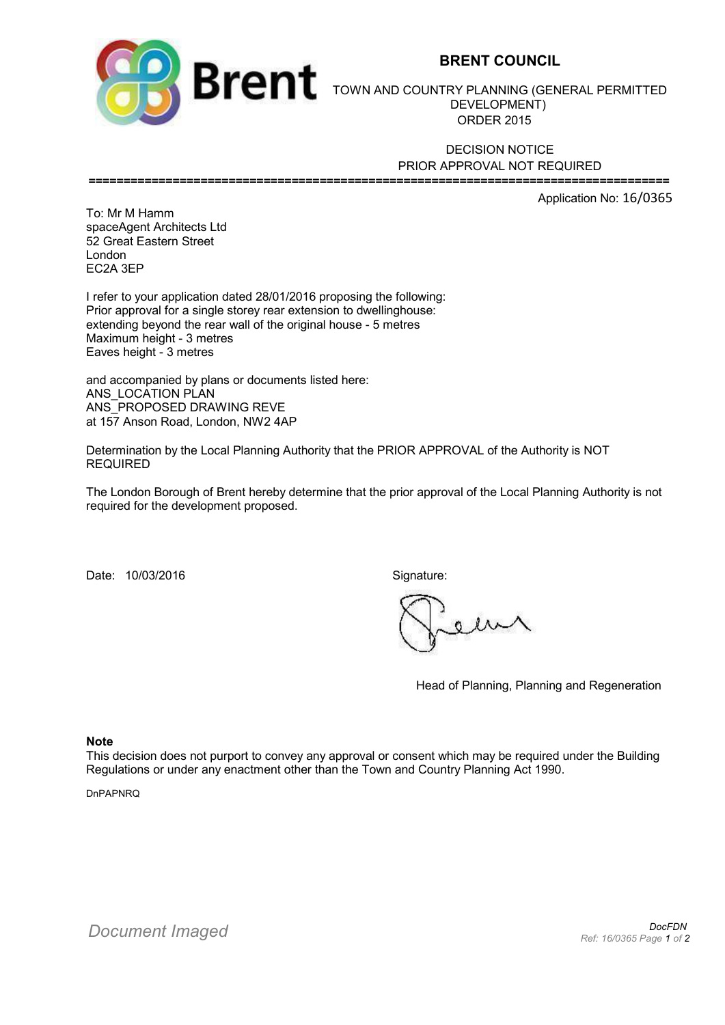

## **BRENT COUNCIL**

TOWN AND COUNTRY PLANNING (GENERAL PERMITTED DEVELOPMENT) ORDER 2015

DECISION NOTICE PRIOR APPROVAL NOT REQUIRED **===================================================================================**

Application No: 16/0365

To: Mr M Hamm spaceAgent Architects Ltd 52 Great Eastern Street London EC2A 3EP

I refer to your application dated 28/01/2016 proposing the following: Prior approval for a single storey rear extension to dwellinghouse: extending beyond the rear wall of the original house - 5 metres Maximum height - 3 metres Eaves height - 3 metres

and accompanied by plans or documents listed here: ANS LOCATION PLAN ANS\_PROPOSED DRAWING REVE at 157 Anson Road, London, NW2 4AP

Determination by the Local Planning Authority that the PRIOR APPROVAL of the Authority is NOT REQUIRED

The London Borough of Brent hereby determine that the prior approval of the Local Planning Authority is not required for the development proposed.

Date: 10/03/2016 Signature:

Head of Planning, Planning and Regeneration

**Note**

This decision does not purport to convey any approval or consent which may be required under the Building Regulations or under any enactment other than the Town and Country Planning Act 1990.

DnPAPNRQ